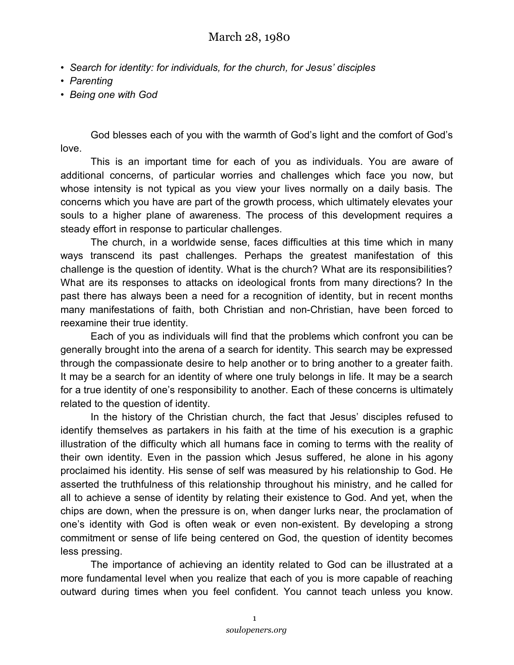- *Search for identity: for individuals, for the church, for Jesus' disciples*
- *Parenting*
- *Being one with God*

God blesses each of you with the warmth of God's light and the comfort of God's love.

This is an important time for each of you as individuals. You are aware of additional concerns, of particular worries and challenges which face you now, but whose intensity is not typical as you view your lives normally on a daily basis. The concerns which you have are part of the growth process, which ultimately elevates your souls to a higher plane of awareness. The process of this development requires a steady effort in response to particular challenges.

The church, in a worldwide sense, faces difficulties at this time which in many ways transcend its past challenges. Perhaps the greatest manifestation of this challenge is the question of identity. What is the church? What are its responsibilities? What are its responses to attacks on ideological fronts from many directions? In the past there has always been a need for a recognition of identity, but in recent months many manifestations of faith, both Christian and non-Christian, have been forced to reexamine their true identity.

Each of you as individuals will find that the problems which confront you can be generally brought into the arena of a search for identity. This search may be expressed through the compassionate desire to help another or to bring another to a greater faith. It may be a search for an identity of where one truly belongs in life. It may be a search for a true identity of one's responsibility to another. Each of these concerns is ultimately related to the question of identity.

In the history of the Christian church, the fact that Jesus' disciples refused to identify themselves as partakers in his faith at the time of his execution is a graphic illustration of the difficulty which all humans face in coming to terms with the reality of their own identity. Even in the passion which Jesus suffered, he alone in his agony proclaimed his identity. His sense of self was measured by his relationship to God. He asserted the truthfulness of this relationship throughout his ministry, and he called for all to achieve a sense of identity by relating their existence to God. And yet, when the chips are down, when the pressure is on, when danger lurks near, the proclamation of one's identity with God is often weak or even non-existent. By developing a strong commitment or sense of life being centered on God, the question of identity becomes less pressing.

The importance of achieving an identity related to God can be illustrated at a more fundamental level when you realize that each of you is more capable of reaching outward during times when you feel confident. You cannot teach unless you know.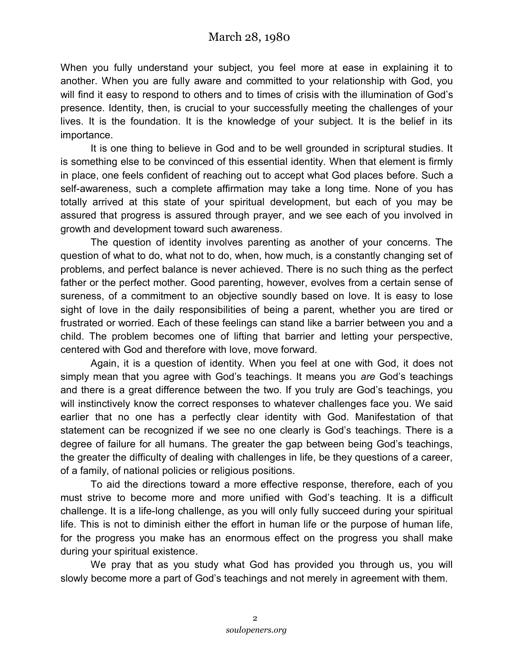When you fully understand your subject, you feel more at ease in explaining it to another. When you are fully aware and committed to your relationship with God, you will find it easy to respond to others and to times of crisis with the illumination of God's presence. Identity, then, is crucial to your successfully meeting the challenges of your lives. It is the foundation. It is the knowledge of your subject. It is the belief in its importance.

It is one thing to believe in God and to be well grounded in scriptural studies. It is something else to be convinced of this essential identity. When that element is firmly in place, one feels confident of reaching out to accept what God places before. Such a self-awareness, such a complete affirmation may take a long time. None of you has totally arrived at this state of your spiritual development, but each of you may be assured that progress is assured through prayer, and we see each of you involved in growth and development toward such awareness.

The question of identity involves parenting as another of your concerns. The question of what to do, what not to do, when, how much, is a constantly changing set of problems, and perfect balance is never achieved. There is no such thing as the perfect father or the perfect mother. Good parenting, however, evolves from a certain sense of sureness, of a commitment to an objective soundly based on love. It is easy to lose sight of love in the daily responsibilities of being a parent, whether you are tired or frustrated or worried. Each of these feelings can stand like a barrier between you and a child. The problem becomes one of lifting that barrier and letting your perspective, centered with God and therefore with love, move forward.

Again, it is a question of identity. When you feel at one with God, it does not simply mean that you agree with God's teachings. It means you *are* God's teachings and there is a great difference between the two. If you truly are God's teachings, you will instinctively know the correct responses to whatever challenges face you. We said earlier that no one has a perfectly clear identity with God. Manifestation of that statement can be recognized if we see no one clearly is God's teachings. There is a degree of failure for all humans. The greater the gap between being God's teachings, the greater the difficulty of dealing with challenges in life, be they questions of a career, of a family, of national policies or religious positions.

To aid the directions toward a more effective response, therefore, each of you must strive to become more and more unified with God's teaching. It is a difficult challenge. It is a life-long challenge, as you will only fully succeed during your spiritual life. This is not to diminish either the effort in human life or the purpose of human life, for the progress you make has an enormous effect on the progress you shall make during your spiritual existence.

We pray that as you study what God has provided you through us, you will slowly become more a part of God's teachings and not merely in agreement with them.